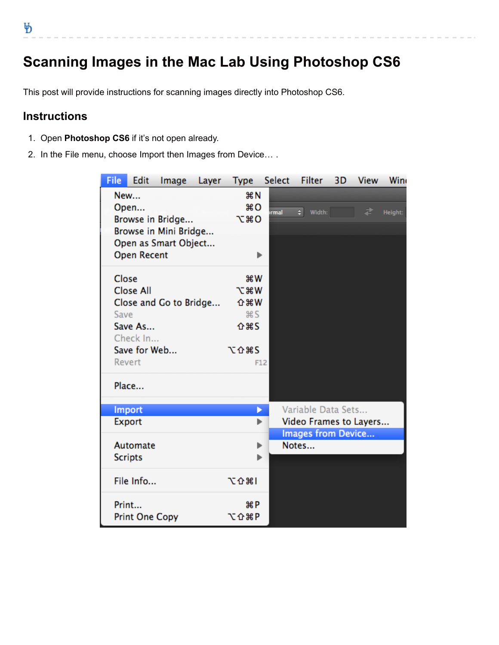b

## **Scanning Images in the Mac Lab Using Photoshop CS6**

This post will provide instructions for scanning images directly into Photoshop CS6.

## **Instructions**

- 1. Open **Photoshop CS6** if it's not open already.
- 2. In the File menu, choose Import then Images from Device… .

| <b>File</b>          | Edit                   | Image                 | Layer | <b>Type</b>               | Select | <b>Filter</b>          | 3D | <b>View</b> | Win     |
|----------------------|------------------------|-----------------------|-------|---------------------------|--------|------------------------|----|-------------|---------|
|                      | New                    |                       |       | <b>第N</b>                 |        |                        |    |             |         |
| Open                 |                        |                       |       | $^{18}$ O                 | rmal   | ٠l<br>Width:           |    | ₽           | Height: |
| Browse in Bridge     |                        |                       |       | <b>7.80</b>               |        |                        |    |             |         |
|                      |                        | Browse in Mini Bridge |       |                           |        |                        |    |             |         |
| Open as Smart Object |                        |                       |       |                           |        |                        |    |             |         |
|                      | <b>Open Recent</b>     |                       |       | ь                         |        |                        |    |             |         |
| Close                |                        |                       |       | <b>第W</b>                 |        |                        |    |             |         |
|                      | <b>Close All</b>       |                       |       | <b>N</b> %                |        |                        |    |             |         |
|                      | Close and Go to Bridge |                       |       |                           |        |                        |    |             |         |
| Save                 |                        |                       |       | <b>介</b> 第 W<br><b>BS</b> |        |                        |    |             |         |
|                      | Save As                |                       |       | <b>介出S</b>                |        |                        |    |             |         |
|                      | Check In               |                       |       |                           |        |                        |    |             |         |
|                      | Save for Web           |                       |       | <b>NO 385</b>             |        |                        |    |             |         |
|                      | Revert                 |                       |       |                           | F12    |                        |    |             |         |
|                      | Place                  |                       |       |                           |        |                        |    |             |         |
|                      |                        |                       |       |                           |        |                        |    |             |         |
|                      | Import                 |                       |       | D                         |        | Variable Data Sets     |    |             |         |
|                      | Export                 |                       |       | ь                         |        | Video Frames to Layers |    |             |         |
|                      |                        |                       |       |                           |        | Images from Device     |    |             |         |
|                      | Automate               |                       |       | ь                         |        | Notes                  |    |             |         |
|                      | <b>Scripts</b>         |                       |       | ь                         |        |                        |    |             |         |
|                      |                        |                       |       |                           |        |                        |    |             |         |
|                      | File Info              |                       |       | て合第1                      |        |                        |    |             |         |
|                      | Print                  |                       |       | 噐P                        |        |                        |    |             |         |
|                      |                        |                       |       | <b>NO 36 P</b>            |        |                        |    |             |         |
|                      | <b>Print One Copy</b>  |                       |       |                           |        |                        |    |             |         |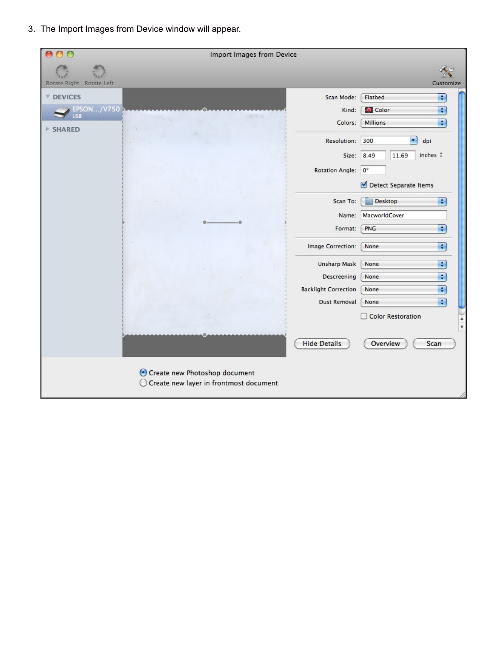3. The Import Images from Device window will appear.

|                                                                      | Import Images from Device                                                                                                                                                                                                                                                                                                                                                                                                                                                                                                                                          |                                                                                                                                                                                                                                          |                                                                                                                                                                                                                                                                                                                                                                                                                                             |
|----------------------------------------------------------------------|--------------------------------------------------------------------------------------------------------------------------------------------------------------------------------------------------------------------------------------------------------------------------------------------------------------------------------------------------------------------------------------------------------------------------------------------------------------------------------------------------------------------------------------------------------------------|------------------------------------------------------------------------------------------------------------------------------------------------------------------------------------------------------------------------------------------|---------------------------------------------------------------------------------------------------------------------------------------------------------------------------------------------------------------------------------------------------------------------------------------------------------------------------------------------------------------------------------------------------------------------------------------------|
| Rotate Right Rotate Left                                             |                                                                                                                                                                                                                                                                                                                                                                                                                                                                                                                                                                    |                                                                                                                                                                                                                                          | Customize                                                                                                                                                                                                                                                                                                                                                                                                                                   |
| <b>V DEVICES</b><br><b>EPSON/V750</b><br><b>USB</b><br><b>SHARED</b> | $\label{eq:1} \frac{\partial \mathcal{L}_{\mathcal{F}}}{\partial \mathcal{L}_{\mathcal{F}}}\frac{\partial \mathcal{L}_{\mathcal{F}}}{\partial \mathcal{L}_{\mathcal{F}}}\frac{\partial \mathcal{L}_{\mathcal{F}}}{\partial \mathcal{L}_{\mathcal{F}}}\frac{\partial \mathcal{L}_{\mathcal{F}}}{\partial \mathcal{L}_{\mathcal{F}}}\frac{\partial \mathcal{L}_{\mathcal{F}}}{\partial \mathcal{L}_{\mathcal{F}}}\frac{\partial \mathcal{L}_{\mathcal{F}}}{\partial \mathcal{L}_{\mathcal{F}}}\frac{\partial \mathcal{L}_{\mathcal{F}}}{\partial \mathcal{L}_{\math$ | Scan Mode:<br>Kind:<br>Colors:<br>Resolution:<br>Size:<br><b>Rotation Angle:</b><br>Scan To:<br>Name:<br>Format:<br><b>Image Correction:</b><br><b>Unsharp Mask</b><br>Descreening<br><b>Backlight Correction</b><br><b>Dust Removal</b> | Flatbed<br>÷<br>$\left  \cdot \right $<br><b>Color</b><br>$\left  \cdot \right $<br><b>Millions</b><br>$\blacktriangledown$<br>300<br>dpi<br>inches $\frac{4}{7}$<br>8.49<br>11.69<br>$0^{\circ}$<br>Detect Separate Items<br><b>Desktop</b><br>$\div$<br>MacworldCover<br>Ð<br>PNG<br>$\left\lfloor \frac{1}{2} \right\rfloor$<br>None<br>$\left  \cdot \right $<br>None<br>$\div$<br>None<br>$\div$<br>None<br>$\overline{\cdot}$<br>None |
|                                                                      |                                                                                                                                                                                                                                                                                                                                                                                                                                                                                                                                                                    | <b>Hide Details</b>                                                                                                                                                                                                                      | Color Restoration<br>$\frac{1}{x}$<br>Overview<br>Scan                                                                                                                                                                                                                                                                                                                                                                                      |
|                                                                      | Create new Photoshop document<br>O Create new layer in frontmost document                                                                                                                                                                                                                                                                                                                                                                                                                                                                                          |                                                                                                                                                                                                                                          |                                                                                                                                                                                                                                                                                                                                                                                                                                             |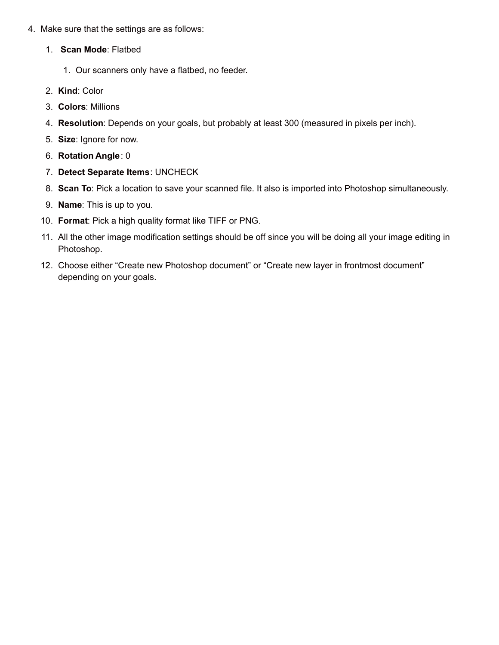- 4. Make sure that the settings are as follows:
	- 1. **Scan Mode**: Flatbed
		- 1. Our scanners only have a flatbed, no feeder.
	- 2. **Kind**: Color
	- 3. **Colors**: Millions
	- 4. **Resolution**: Depends on your goals, but probably at least 300 (measured in pixels per inch).
	- 5. **Size**: Ignore for now.
	- 6. **Rotation Angle**: 0
	- 7. **Detect Separate Items**: UNCHECK
	- 8. **Scan To**: Pick a location to save your scanned file. It also is imported into Photoshop simultaneously.
	- 9. **Name**: This is up to you.
	- 10. **Format**: Pick a high quality format like TIFF or PNG.
	- 11. All the other image modification settings should be off since you will be doing all your image editing in Photoshop.
	- 12. Choose either "Create new Photoshop document" or "Create new layer in frontmost document" depending on your goals.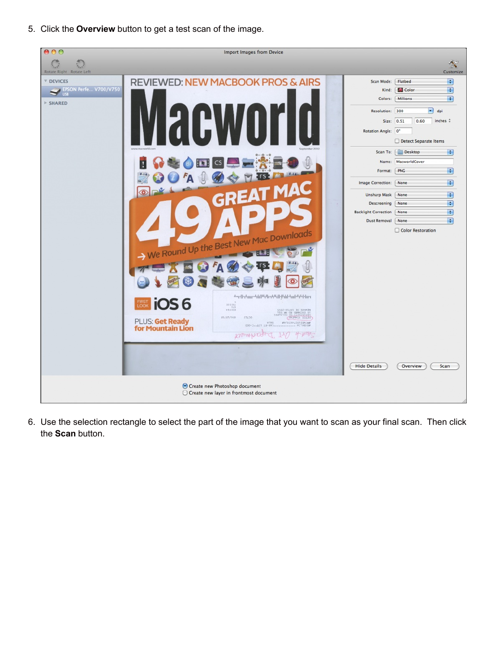5. Click the **Overview** button to get a test scan of the image.



6. Use the selection rectangle to select the part of the image that you want to scan as your final scan. Then click the **Scan** button.